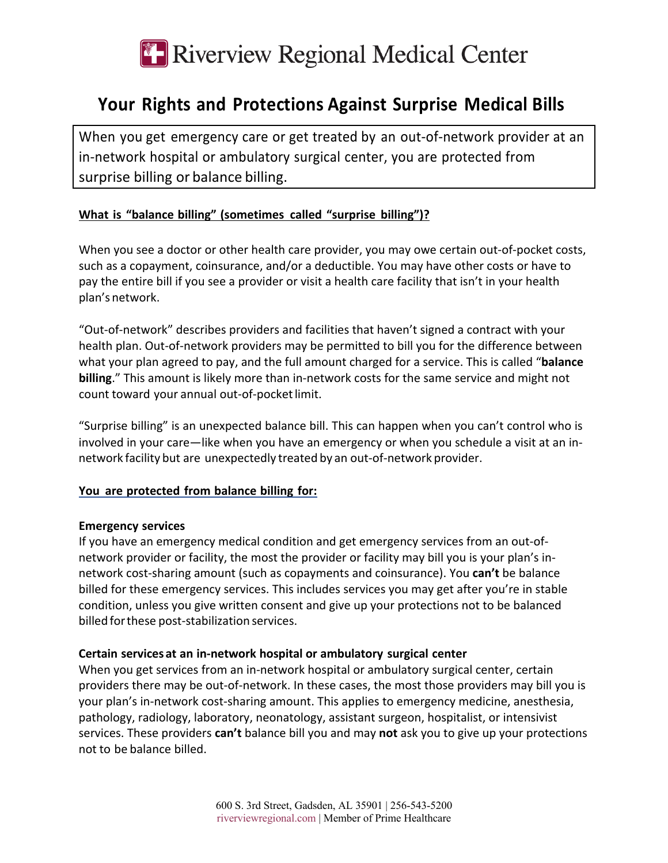# **E-Riverview Regional Medical Center**

## **Your Rights and Protections Against Surprise Medical Bills**

When you get emergency care or get treated by an out-of-network provider at an in-network hospital or ambulatory surgical center, you are protected from surprise billing or balance billing.

### **What is "balance billing" (sometimes called "surprise billing")?**

When you see a doctor or other health care provider, you may owe certain out-of-pocket costs, such as a copayment, coinsurance, and/or a deductible. You may have other costs or have to pay the entire bill if you see a provider or visit a health care facility that isn't in your health plan's network.

"Out-of-network" describes providers and facilities that haven't signed a contract with your health plan. Out-of-network providers may be permitted to bill you for the difference between what your plan agreed to pay, and the full amount charged for a service. This is called "**balance billing**." This amount is likely more than in-network costs for the same service and might not count toward your annual out-of-pocketlimit.

"Surprise billing" is an unexpected balance bill. This can happen when you can't control who is involved in your care—like when you have an emergency or when you schedule a visit at an innetwork facility but are unexpectedly treated by an out-of-network provider.

#### **You are protected from balance billing for:**

#### **Emergency services**

If you have an emergency medical condition and get emergency services from an out-ofnetwork provider or facility, the most the provider or facility may bill you is your plan's innetwork cost-sharing amount (such as copayments and coinsurance). You **can't** be balance billed for these emergency services. This includes services you may get after you're in stable condition, unless you give written consent and give up your protections not to be balanced billed forthese post-stabilization services.

#### **Certain services at an in-network hospital or ambulatory surgical center**

When you get services from an in-network hospital or ambulatory surgical center, certain providers there may be out-of-network. In these cases, the most those providers may bill you is your plan's in-network cost-sharing amount. This applies to emergency medicine, anesthesia, pathology, radiology, laboratory, neonatology, assistant surgeon, hospitalist, or intensivist services. These providers **can't** balance bill you and may **not** ask you to give up your protections not to be balance billed.